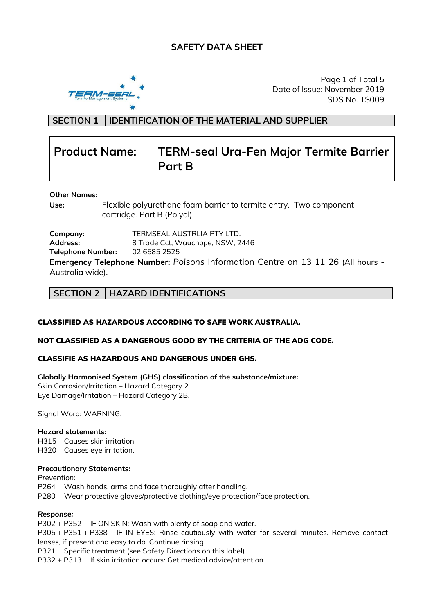# **SAFETY DATA SHEET**



Page 1 of Total 5 Date of Issue: November 2019 SDS No. TS009

**SECTION 1 IDENTIFICATION OF THE MATERIAL AND SUPPLIER**

# **Product Name: TERM-seal Ura-Fen Major Termite Barrier Part B**

#### **Other Names:**

**Use:** Flexible polyurethane foam barrier to termite entry. Two component cartridge. Part B (Polyol).

**Company:** TERMSEAL AUSTRLIA PTY LTD. **Address:** 8 Trade Cct, Wauchope, NSW, 2446 **Telephone Number:** 02 6585 2525 **Emergency Telephone Number:** *Poisons* Information Centre on 13 11 26 (All hours - Australia wide).

### **SECTION 2 HAZARD IDENTIFICATIONS**

#### CLASSIFIED AS HAZARDOUS ACCORDING TO SAFE WORK AUSTRALIA.

#### NOT CLASSIFIED AS A DANGEROUS GOOD BY THE CRITERIA OF THE ADG CODE.

#### CLASSIFIE AS HAZARDOUS AND DANGEROUS UNDER GHS.

**Globally Harmonised System (GHS) classification of the substance/mixture:** Skin Corrosion/Irritation – Hazard Category 2. Eye Damage/Irritation – Hazard Category 2B.

Signal Word: WARNING.

#### **Hazard statements:**

H315 Causes skin irritation.

H320 Causes eye irritation.

#### **Precautionary Statements:**

*Prevention:*

P264 Wash hands, arms and face thoroughly after handling.

P280 Wear protective gloves/protective clothing/eye protection/face protection.

#### *Response:*

P302 + P352 IF ON SKIN: Wash with plenty of soap and water.

P305 + P351 + P338 IF IN EYES: Rinse cautiously with water for several minutes. Remove contact lenses, if present and easy to do. Continue rinsing.

P321 Specific treatment (see Safety Directions on this label).

P332 + P313 If skin irritation occurs: Get medical advice/attention.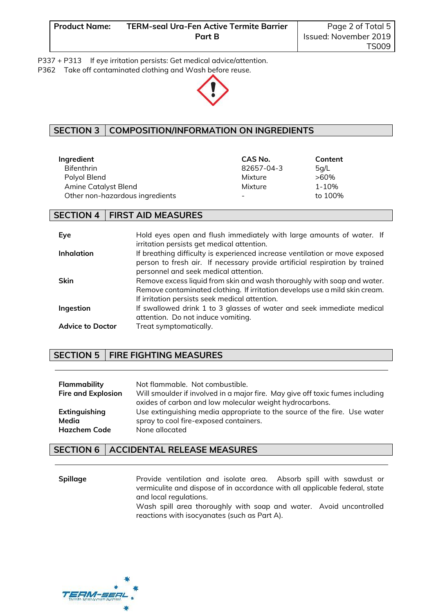P337 + P313 If eye irritation persists: Get medical advice/attention.

P362 Take off contaminated clothing and Wash before reuse.



# **SECTION 3 COMPOSITION/INFORMATION ON INGREDIENTS**

| Ingredient                      | CAS No.    | Content |
|---------------------------------|------------|---------|
| <b>Bifenthrin</b>               | 82657-04-3 | 5q/L    |
| Polyol Blend                    | Mixture    | >60%    |
| Amine Catalyst Blend            | Mixture    | 1-10%   |
| Other non-hazardous ingredients | -          | to 100% |

## **SECTION 4 FIRST AID MEASURES**

| Eye                     | Hold eyes open and flush immediately with large amounts of water. If<br>irritation persists get medical attention.                                                                                       |
|-------------------------|----------------------------------------------------------------------------------------------------------------------------------------------------------------------------------------------------------|
| <b>Inhalation</b>       | If breathing difficulty is experienced increase ventilation or move exposed<br>person to fresh air. If necessary provide artificial respiration by trained<br>personnel and seek medical attention.      |
| <b>Skin</b>             | Remove excess liquid from skin and wash thoroughly with soap and water.<br>Remove contaminated clothing. If irritation develops use a mild skin cream.<br>If irritation persists seek medical attention. |
| Ingestion               | If swallowed drink 1 to 3 glasses of water and seek immediate medical<br>attention. Do not induce vomiting.                                                                                              |
| <b>Advice to Doctor</b> | Treat symptomatically.                                                                                                                                                                                   |

# **SECTION 5 FIRE FIGHTING MEASURES**

| <b>Flammability</b>       | Not flammable. Not combustible.                                                                                                          |
|---------------------------|------------------------------------------------------------------------------------------------------------------------------------------|
| <b>Fire and Explosion</b> | Will smoulder if involved in a major fire. May give off toxic fumes including<br>oxides of carbon and low molecular weight hydrocarbons. |
| Extinguishing             | Use extinguishing media appropriate to the source of the fire. Use water                                                                 |
| Media                     | spray to cool fire-exposed containers.                                                                                                   |
| <b>Hazchem Code</b>       | None allocated                                                                                                                           |

# **SECTION 6 ACCIDENTAL RELEASE MEASURES**

**Spillage Provide ventilation and isolate area.** Absorb spill with sawdust or vermiculite and dispose of in accordance with all applicable federal, state and local regulations. Wash spill area thoroughly with soap and water. Avoid uncontrolled reactions with isocyanates (such as Part A).

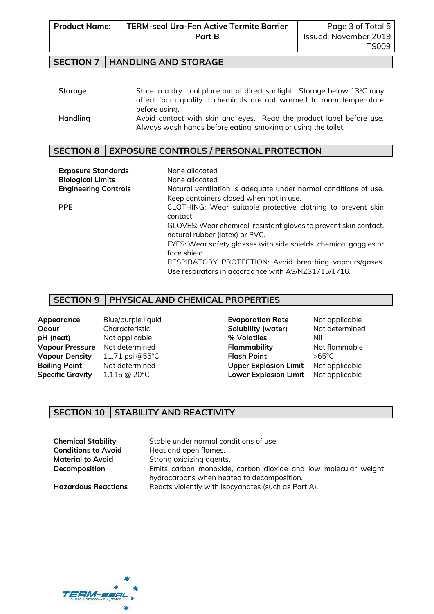### **SECTION 7 HANDLING AND STORAGE**

| <b>Storage</b> | Store in a dry, cool place out of direct sunlight. Storage below 13°C may |  |  |  |  |
|----------------|---------------------------------------------------------------------------|--|--|--|--|
|                | affect foam quality if chemicals are not warmed to room temperature       |  |  |  |  |
|                | before using.                                                             |  |  |  |  |
| Handling       | Avoid contact with skin and eyes. Read the product label before use.      |  |  |  |  |
|                | Always wash hands before eating, smoking or using the toilet.             |  |  |  |  |

### **SECTION 8 EXPOSURE CONTROLS / PERSONAL PROTECTION**

| <b>Exposure Standards</b>   | None allocated                                                                                    |
|-----------------------------|---------------------------------------------------------------------------------------------------|
| <b>Biological Limits</b>    | None allocated                                                                                    |
| <b>Engineering Controls</b> | Natural ventilation is adequate under normal conditions of use.                                   |
|                             | Keep containers closed when not in use.                                                           |
| <b>PPE</b>                  | CLOTHING: Wear suitable protective clothing to prevent skin                                       |
|                             | contact.                                                                                          |
|                             | GLOVES: Wear chemical-resistant gloves to prevent skin contact.<br>natural rubber (latex) or PVC. |
|                             | EYES: Wear safety glasses with side shields, chemical goggles or                                  |
|                             | face shield.                                                                                      |
|                             | RESPIRATORY PROTECTION: Avoid breathing vapours/gases.                                            |
|                             | Use respirators in accordance with AS/NZS1715/1716.                                               |

### **SECTION 9 PHYSICAL AND CHEMICAL PROPERTIES**

**Odour** Characteristic **Solubility (water)** Not determined **pH (neat)** Not applicable **1996** Millow Moto Millow Moto Millow Millow Millow Millow Millow Millow Millow Millow Millow Millow Millow Millow Millow Millow Millow Millow Millow Millow Millow Millow Millow Millow Millow Mil **Vapour Pressure** Not determined **Flammability** Not flammable **Vapour Density** 11.71 psi @55°C **Flash Point** >65°C **Boiling Point** Not determined **Upper Explosion Limit** Not applicable **Specific Gravity** 1.115 @ 20°C **Lower Explosion Limit** Not applicable

**Appearance** Blue/purple liquid **Evaporation Rate** Not applicable

# **SECTION 10 STABILITY AND REACTIVITY**

| <b>Chemical Stability</b>  | Stable under normal conditions of use.                                                                       |
|----------------------------|--------------------------------------------------------------------------------------------------------------|
| <b>Conditions to Avoid</b> | Heat and open flames.                                                                                        |
| <b>Material to Avoid</b>   | Strong oxidizing agents.                                                                                     |
| Decomposition              | Emits carbon monoxide, carbon dioxide and low molecular weight<br>hydrocarbons when heated to decomposition. |
| <b>Hazardous Reactions</b> | Reacts violently with isocyanates (such as Part A).                                                          |

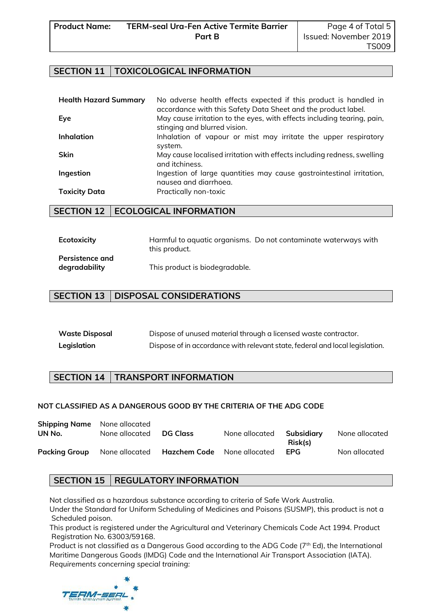### **SECTION 11 TOXICOLOGICAL INFORMATION**

| <b>Health Hazard Summary</b> | No adverse health effects expected if this product is handled in<br>accordance with this Safety Data Sheet and the product label. |
|------------------------------|-----------------------------------------------------------------------------------------------------------------------------------|
| Eye                          | May cause irritation to the eyes, with effects including tearing, pain,<br>stinging and blurred vision.                           |
| <b>Inhalation</b>            | Inhalation of vapour or mist may irritate the upper respiratory<br>system.                                                        |
| <b>Skin</b>                  | May cause localised irritation with effects including redness, swelling<br>and itchiness.                                         |
| Ingestion                    | Ingestion of large quantities may cause gastrointestinal irritation,<br>nausea and diarrhoea.                                     |
| <b>Toxicity Data</b>         | Practically non-toxic                                                                                                             |

### **SECTION 12 | ECOLOGICAL INFORMATION**

| Ecotoxicity            | Harmful to gaugtic organisms. Do not contaminate waterways with<br>this product. |
|------------------------|----------------------------------------------------------------------------------|
| <b>Persistence and</b> |                                                                                  |
| degradability          | This product is biodegradable.                                                   |

## **SECTION 13 DISPOSAL CONSIDERATIONS**

| <b>Waste Disposal</b> | Dispose of unused material through a licensed waste contractor.              |
|-----------------------|------------------------------------------------------------------------------|
| Legislation           | Dispose of in accordance with relevant state, federal and local legislation. |

### **SECTION 14 TRANSPORT INFORMATION**

#### **NOT CLASSIFIED AS A DANGEROUS GOOD BY THE CRITERIA OF THE ADG CODE**

| <b>Shipping Name</b> None allocated |                |                                            |                |                       |                |
|-------------------------------------|----------------|--------------------------------------------|----------------|-----------------------|----------------|
| UN No.                              | None allocated | DG Class                                   | None allocated | Subsidiary<br>Risk(s) | None allocated |
| <b>Packing Group</b>                |                | None allocated Hazchem Code None allocated |                | <b>FPG</b>            | Non allocated  |

### **SECTION 15 REGULATORY INFORMATION**

Not classified as a hazardous substance according to criteria of Safe Work Australia. Under the Standard for Uniform Scheduling of Medicines and Poisons (SUSMP), this product is not a Scheduled poison.

This product is registered under the Agricultural and Veterinary Chemicals Code Act 1994. Product Registration No. 63003/59168.

Product is not classified as a Dangerous Good according to the ADG Code (7<sup>th</sup> Ed), the International Maritime Dangerous Goods (IMDG) Code and the International Air Transport Association (IATA). *Requirements concerning special training:*